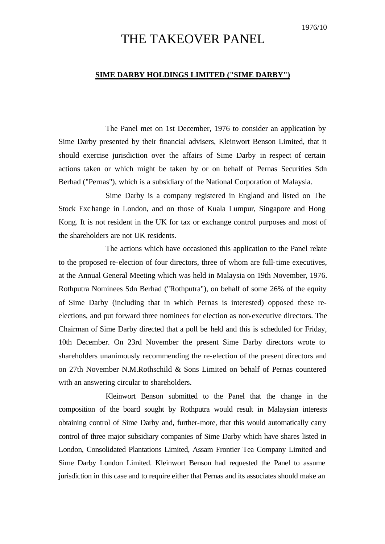## THE TAKEOVER PANEL

## **SIME DARBY HOLDINGS LIMITED ("SIME DARBY")**

The Panel met on 1st December, 1976 to consider an application by Sime Darby presented by their financial advisers, Kleinwort Benson Limited, that it should exercise jurisdiction over the affairs of Sime Darby in respect of certain actions taken or which might be taken by or on behalf of Pernas Securities Sdn Berhad ("Pernas"), which is a subsidiary of the National Corporation of Malaysia.

Sime Darby is a company registered in England and listed on The Stock Exchange in London, and on those of Kuala Lumpur, Singapore and Hong Kong. It is not resident in the UK for tax or exchange control purposes and most of the shareholders are not UK residents.

The actions which have occasioned this application to the Panel relate to the proposed re-election of four directors, three of whom are full-time executives, at the Annual General Meeting which was held in Malaysia on 19th November, 1976. Rothputra Nominees Sdn Berhad ("Rothputra"), on behalf of some 26% of the equity of Sime Darby (including that in which Pernas is interested) opposed these reelections, and put forward three nominees for election as non-executive directors. The Chairman of Sime Darby directed that a poll be held and this is scheduled for Friday, 10th December. On 23rd November the present Sime Darby directors wrote to shareholders unanimously recommending the re-election of the present directors and on 27th November N.M.Rothschild & Sons Limited on behalf of Pernas countered with an answering circular to shareholders.

Kleinwort Benson submitted to the Panel that the change in the composition of the board sought by Rothputra would result in Malaysian interests obtaining control of Sime Darby and, further-more, that this would automatically carry control of three major subsidiary companies of Sime Darby which have shares listed in London, Consolidated Plantations Limited, Assam Frontier Tea Company Limited and Sime Darby London Limited. Kleinwort Benson had requested the Panel to assume jurisdiction in this case and to require either that Pernas and its associates should make an